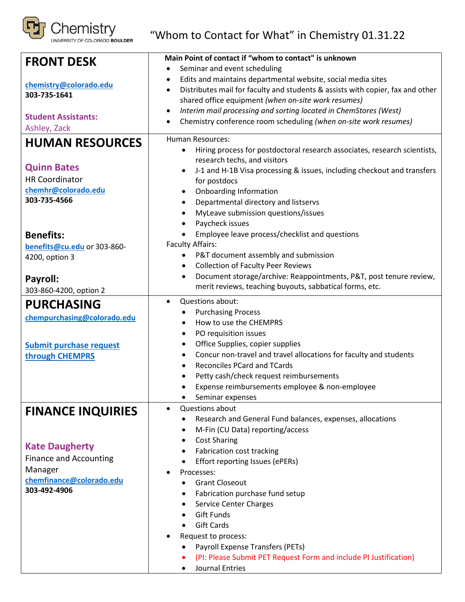

"Whom to Contact for What" in Chemistry 01.31.22

| <b>FRONT DESK</b>              | Main Point of contact if "whom to contact" is unknown                                       |  |
|--------------------------------|---------------------------------------------------------------------------------------------|--|
|                                | Seminar and event scheduling<br>$\bullet$                                                   |  |
| chemistry@colorado.edu         | Edits and maintains departmental website, social media sites<br>٠                           |  |
| 303-735-1641                   | Distributes mail for faculty and students & assists with copier, fax and other<br>$\bullet$ |  |
|                                | shared office equipment (when on-site work resumes)                                         |  |
| <b>Student Assistants:</b>     | Interim mail processing and sorting located in ChemStores (West)<br>$\bullet$               |  |
| Ashley, Zack                   | Chemistry conference room scheduling (when on-site work resumes)                            |  |
|                                | <b>Human Resources:</b>                                                                     |  |
| <b>HUMAN RESOURCES</b>         | Hiring process for postdoctoral research associates, research scientists,<br>$\bullet$      |  |
|                                | research techs, and visitors                                                                |  |
| <b>Quinn Bates</b>             | J-1 and H-1B Visa processing & issues, including checkout and transfers                     |  |
| <b>HR Coordinator</b>          | for postdocs                                                                                |  |
| chemhr@colorado.edu            | <b>Onboarding Information</b><br>$\bullet$                                                  |  |
| 303-735-4566                   | Departmental directory and listservs<br>$\bullet$                                           |  |
|                                | MyLeave submission questions/issues<br>٠                                                    |  |
|                                | Paycheck issues<br>$\bullet$                                                                |  |
| <b>Benefits:</b>               | Employee leave process/checklist and questions                                              |  |
| benefits@cu.edu or 303-860-    | <b>Faculty Affairs:</b>                                                                     |  |
| 4200, option 3                 | P&T document assembly and submission<br>$\bullet$                                           |  |
|                                | <b>Collection of Faculty Peer Reviews</b><br>$\bullet$                                      |  |
| Payroll:                       | Document storage/archive: Reappointments, P&T, post tenure review,                          |  |
|                                | merit reviews, teaching buyouts, sabbatical forms, etc.                                     |  |
| 303-860-4200, option 2         |                                                                                             |  |
| <b>PURCHASING</b>              | Questions about:<br>$\bullet$                                                               |  |
| chempurchasing@colorado.edu    | <b>Purchasing Process</b><br>٠<br>How to use the CHEMPRS<br>$\bullet$                       |  |
|                                | PO requisition issues<br>٠                                                                  |  |
|                                | Office Supplies, copier supplies<br>٠                                                       |  |
| <b>Submit purchase request</b> | Concur non-travel and travel allocations for faculty and students<br>$\bullet$              |  |
| through CHEMPRS                | <b>Reconciles PCard and TCards</b><br>$\bullet$                                             |  |
|                                | Petty cash/check request reimbursements                                                     |  |
|                                | Expense reimbursements employee & non-employee                                              |  |
|                                | Seminar expenses<br>$\bullet$                                                               |  |
|                                | Questions about<br>$\bullet$                                                                |  |
| <b>FINANCE INQUIRIES</b>       | Research and General Fund balances, expenses, allocations                                   |  |
|                                | M-Fin (CU Data) reporting/access<br>٠                                                       |  |
|                                | <b>Cost Sharing</b>                                                                         |  |
| <b>Kate Daugherty</b>          | <b>Fabrication cost tracking</b>                                                            |  |
| <b>Finance and Accounting</b>  | Effort reporting Issues (ePERs)<br>$\bullet$                                                |  |
| Manager                        | Processes:                                                                                  |  |
| chemfinance@colorado.edu       | <b>Grant Closeout</b>                                                                       |  |
| 303-492-4906                   | Fabrication purchase fund setup<br>٠                                                        |  |
|                                | <b>Service Center Charges</b>                                                               |  |
|                                | <b>Gift Funds</b>                                                                           |  |
|                                | <b>Gift Cards</b><br>$\bullet$                                                              |  |
|                                | Request to process:                                                                         |  |
|                                | Payroll Expense Transfers (PETs)                                                            |  |
|                                | (PI: Please Submit PET Request Form and include PI Justification)                           |  |
|                                | <b>Journal Entries</b>                                                                      |  |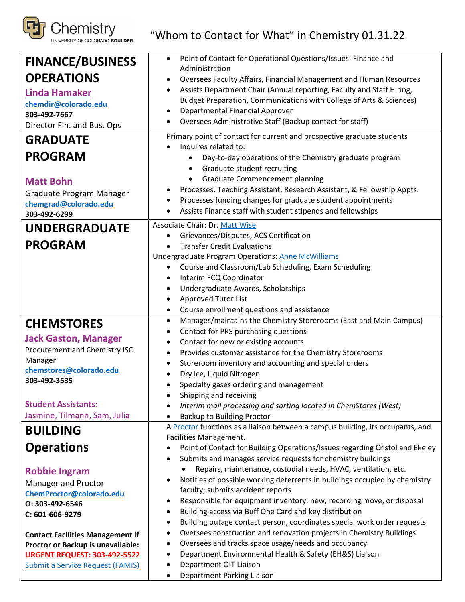

"Whom to Contact for What" in Chemistry 01.31.22

| <b>FINANCE/BUSINESS</b>                 | Point of Contact for Operational Questions/Issues: Finance and<br>$\bullet$                                      |  |  |
|-----------------------------------------|------------------------------------------------------------------------------------------------------------------|--|--|
| <b>OPERATIONS</b>                       | Administration<br>Oversees Faculty Affairs, Financial Management and Human Resources<br>٠                        |  |  |
| <b>Linda Hamaker</b>                    | Assists Department Chair (Annual reporting, Faculty and Staff Hiring,<br>$\bullet$                               |  |  |
| chemdir@colorado.edu                    | Budget Preparation, Communications with College of Arts & Sciences)                                              |  |  |
| 303-492-7667                            | Departmental Financial Approver<br>$\bullet$                                                                     |  |  |
| Director Fin. and Bus. Ops              | Oversees Administrative Staff (Backup contact for staff)<br>$\bullet$                                            |  |  |
| <b>GRADUATE</b>                         | Primary point of contact for current and prospective graduate students                                           |  |  |
|                                         | Inquires related to:                                                                                             |  |  |
| <b>PROGRAM</b>                          | Day-to-day operations of the Chemistry graduate program<br>$\bullet$                                             |  |  |
|                                         | Graduate student recruiting<br>$\bullet$                                                                         |  |  |
| <b>Matt Bohn</b>                        | <b>Graduate Commencement planning</b><br>$\bullet$                                                               |  |  |
| Graduate Program Manager                | Processes: Teaching Assistant, Research Assistant, & Fellowship Appts.                                           |  |  |
| chemgrad@colorado.edu                   | Processes funding changes for graduate student appointments                                                      |  |  |
| 303-492-6299                            | Assists Finance staff with student stipends and fellowships                                                      |  |  |
| <b>UNDERGRADUATE</b>                    | <b>Associate Chair: Dr. Matt Wise</b>                                                                            |  |  |
| <b>PROGRAM</b>                          | Grievances/Disputes, ACS Certification<br>$\bullet$                                                              |  |  |
|                                         | <b>Transfer Credit Evaluations</b>                                                                               |  |  |
|                                         | <b>Undergraduate Program Operations: Anne McWilliams</b><br>Course and Classroom/Lab Scheduling, Exam Scheduling |  |  |
|                                         | $\bullet$<br>Interim FCQ Coordinator                                                                             |  |  |
|                                         | Undergraduate Awards, Scholarships<br>٠                                                                          |  |  |
|                                         | <b>Approved Tutor List</b><br>$\bullet$                                                                          |  |  |
|                                         | Course enrollment questions and assistance<br>$\bullet$                                                          |  |  |
|                                         | Manages/maintains the Chemistry Storerooms (East and Main Campus)<br>$\bullet$                                   |  |  |
| <b>CHEMSTORES</b>                       | Contact for PRS purchasing questions<br>$\bullet$                                                                |  |  |
| <b>Jack Gaston, Manager</b>             | Contact for new or existing accounts<br>$\bullet$                                                                |  |  |
| Procurement and Chemistry ISC           | Provides customer assistance for the Chemistry Storerooms<br>$\bullet$                                           |  |  |
| Manager                                 | Storeroom inventory and accounting and special orders<br>$\bullet$                                               |  |  |
| chemstores@colorado.edu                 | Dry Ice, Liquid Nitrogen                                                                                         |  |  |
| 303-492-3535                            | Specialty gases ordering and management                                                                          |  |  |
|                                         | Shipping and receiving                                                                                           |  |  |
| <b>Student Assistants:</b>              | Interim mail processing and sorting located in ChemStores (West)                                                 |  |  |
| Jasmine, Tilmann, Sam, Julia            | <b>Backup to Building Proctor</b>                                                                                |  |  |
| <b>BUILDING</b>                         | A Proctor functions as a liaison between a campus building, its occupants, and                                   |  |  |
|                                         |                                                                                                                  |  |  |
|                                         | Facilities Management.                                                                                           |  |  |
| <b>Operations</b>                       | Point of Contact for Building Operations/Issues regarding Cristol and Ekeley                                     |  |  |
|                                         | Submits and manages service requests for chemistry buildings<br>٠                                                |  |  |
| <b>Robbie Ingram</b>                    | Repairs, maintenance, custodial needs, HVAC, ventilation, etc.                                                   |  |  |
| Manager and Proctor                     | Notifies of possible working deterrents in buildings occupied by chemistry<br>٠                                  |  |  |
| ChemProctor@colorado.edu                | faculty; submits accident reports                                                                                |  |  |
| O: 303-492-6546                         | Responsible for equipment inventory: new, recording move, or disposal<br>$\bullet$                               |  |  |
| C: 601-606-9279                         | Building access via Buff One Card and key distribution<br>$\bullet$                                              |  |  |
|                                         | Building outage contact person, coordinates special work order requests<br>$\bullet$                             |  |  |
| <b>Contact Facilities Management if</b> | Oversees construction and renovation projects in Chemistry Buildings<br>٠                                        |  |  |
| Proctor or Backup is unavailable:       | Oversees and tracks space usage/needs and occupancy<br>٠                                                         |  |  |
| <b>URGENT REQUEST: 303-492-5522</b>     | Department Environmental Health & Safety (EH&S) Liaison<br>٠                                                     |  |  |
| <b>Submit a Service Request (FAMIS)</b> | Department OIT Liaison<br>٠<br>Department Parking Liaison<br>٠                                                   |  |  |